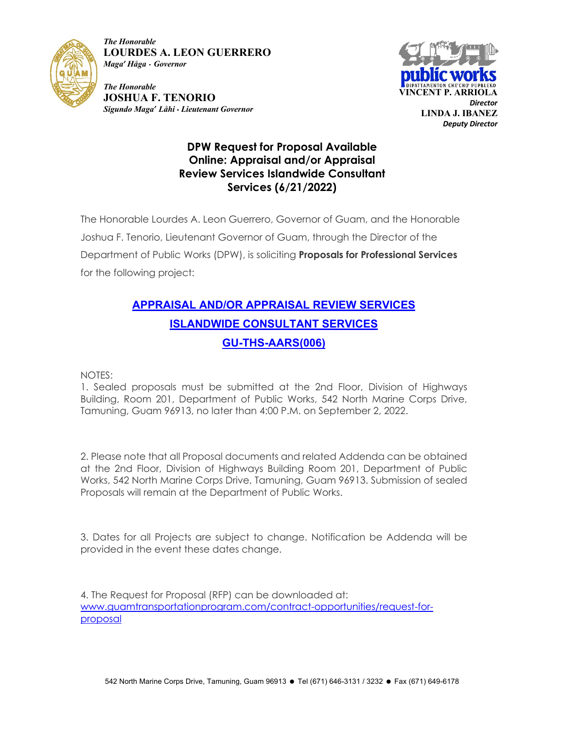

*The Honorable* **LOURDES A. LEON GUERRERO** *Maga' Håga* • *Governor*

 *Director Sigundo Maga' Låhi • Lieutenant Governor The Honorable* **JOSHUA F. TENORIO** 



## **DPW Request for Proposal Available Online: Appraisal and/or Appraisal Review Services Islandwide Consultant Services (6/21/2022)**

The Honorable Lourdes A. Leon Guerrero, Governor of Guam, and the Honorable Joshua F. Tenorio, Lieutenant Governor of Guam, through the Director of the Department of Public Works (DPW), is soliciting **Proposals for Professional Services** for the following project:

## **APPRAISAL AND/OR APPRAISAL REVIEW SERVICES ISLANDWIDE CONSULTANT SERVICES GU-THS-AARS(006)**

NOTES:

1. Sealed proposals must be submitted at the 2nd Floor, Division of Highways Building, Room 201, Department of Public Works, 542 North Marine Corps Drive, Tamuning, Guam 96913, no later than 4:00 P.M. on September 2, 2022.

2. Please note that all Proposal documents and related Addenda can be obtained at the 2nd Floor, Division of Highways Building Room 201, Department of Public Works, 542 North Marine Corps Drive, Tamuning, Guam 96913. Submission of sealed Proposals will remain at the Department of Public Works.

3. Dates for all Projects are subject to change. Notification be Addenda will be provided in the event these dates change.

4. The Request for Proposal (RFP) can be downloaded at: www.guamtransportationprogram.com/contract-opportunities/request-forproposal